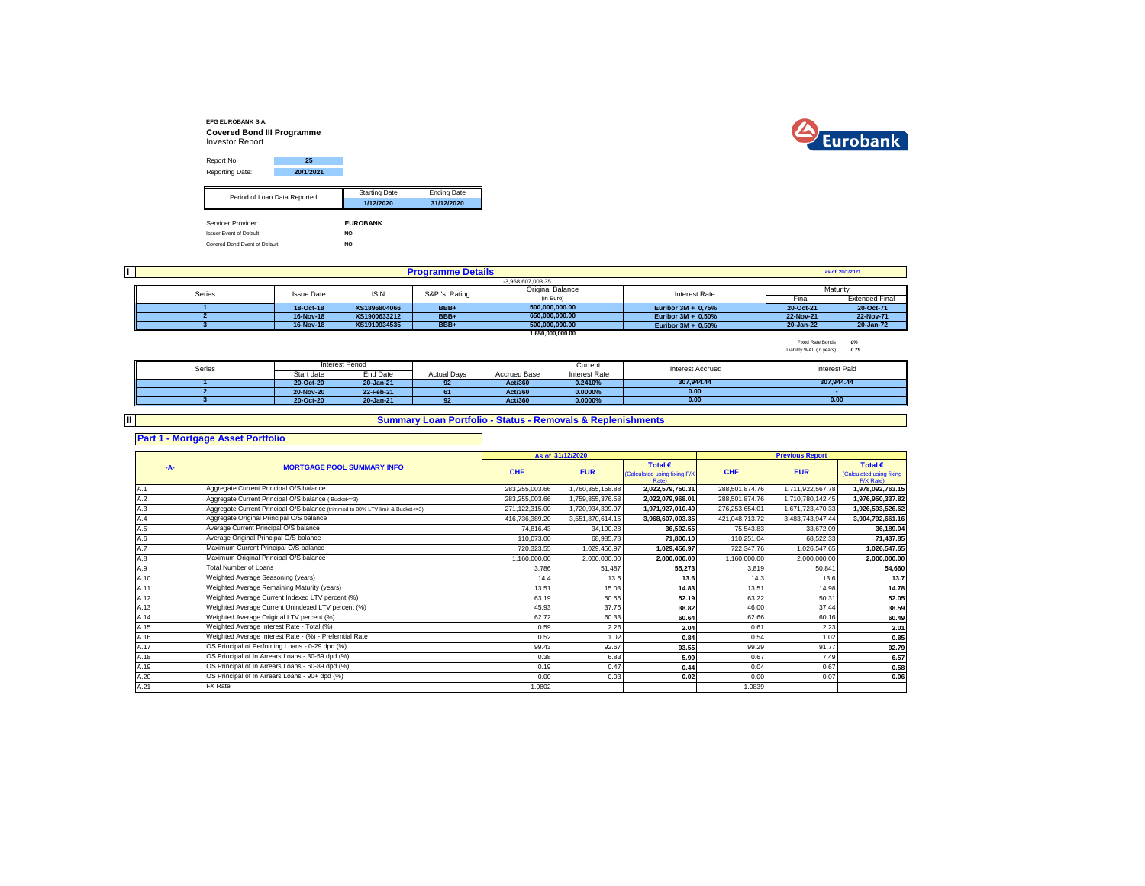



| Report No:                      | 25                            |                      |                    |
|---------------------------------|-------------------------------|----------------------|--------------------|
| Reporting Date:                 | 20/1/2021                     |                      |                    |
|                                 |                               | <b>Starting Date</b> | <b>Ending Date</b> |
|                                 | Period of Loan Data Reported: | 1/12/2020            | 31/12/2020         |
| Servicer Provider:              |                               | <b>EUROBANK</b>      |                    |
| <b>Issuer Event of Default:</b> |                               | NO.                  |                    |
| Covered Bond Event of Default:  |                               | NO.                  |                    |

| II. |        |                   |              | <b>Programme Details</b> |                         |                       |           | as of 20/1/2021       |
|-----|--------|-------------------|--------------|--------------------------|-------------------------|-----------------------|-----------|-----------------------|
|     |        |                   |              |                          | $-3.968.607.003.35$     |                       |           |                       |
|     | Series | <b>Issue Date</b> | <b>ISIN</b>  | S&P 's Rating            | <b>Original Balance</b> | Interest Rate         |           | Maturity              |
|     |        |                   |              |                          | (in Euro)               |                       | Fina      | <b>Extended Final</b> |
|     |        | 18-Oct-18         | XS1896804066 | BBB+                     | 500.000.000.00          | Euribor $3M + 0.75%$  | 20-Oct-21 | 20-Oct-71             |
|     |        | 16-Nov-18         | XS1900633212 | BBB+                     | 650.000.000.00          | Euribor $3M + 0.50\%$ | 22-Nov-21 | 22-Nov-71             |
|     |        | 16-Nov-18         | XS1910934535 | BBB+                     | 500.000.000.00          | Euribor $3M + 0.50\%$ | 20-Jan-22 | 20-Jan-72             |
|     |        |                   |              |                          | 1.650.000.000.00        |                       |           |                       |

Fixed Rate Bonds *0%* Liability WAL (in years) *0.79*

| Series |            | <b>Interest Period</b> |                    |              | Current       | <b>Interest Accrued</b> | Interest Paid |
|--------|------------|------------------------|--------------------|--------------|---------------|-------------------------|---------------|
|        | Start date | End Date               | <b>Actual Davs</b> | Accrued Base | Interest Rate |                         |               |
|        | 20-Oct-20  | 20-Jan-21              | 92                 | Act/360      | 0.2410%       | 307.944.44              | 307.944.44    |
|        | 20-Nov-20  | 22-Feb-21              | 61                 | Act/360      | $0.0000\%$    | 0.00                    |               |
|        | 20-Oct-20  | 20-Jan-21              |                    | Act/360      | 0.0000%       | 0.00                    | 0.00          |

**II**

## **Summary Loan Portfolio - Status - Removals & Replenishments**

**Part 1 - Mortgage Asset Portfolio**

|      |                                                                                  |                | As of 31/12/2020 |                                                           |                | <b>Previous Report</b> |                                                           |
|------|----------------------------------------------------------------------------------|----------------|------------------|-----------------------------------------------------------|----------------|------------------------|-----------------------------------------------------------|
| -A-  | <b>MORTGAGE POOL SUMMARY INFO</b>                                                | CHF            | <b>EUR</b>       | Total $\epsilon$<br>(Calculated using fixing F/X<br>Rate) | <b>CHF</b>     | <b>EUR</b>             | Total $\epsilon$<br>(Calculated using fixing<br>F/X Rate) |
| A.1  | Aggregate Current Principal O/S balance                                          | 283,255,003.66 | 1,760,355,158.88 | 2,022,579,750.31                                          | 288,501,874.76 | 1,711,922,567.78       | 1,978,092,763.15                                          |
| A.2  | Aggregate Current Principal O/S balance (Bucket<=3)                              | 283,255,003.66 | 1,759,855,376.58 | 2,022,079,968.01                                          | 288,501,874.76 | 1,710,780,142.45       | 1,976,950,337.82                                          |
| A.3  | Aggregate Current Principal O/S balance (trimmed to 80% LTV limit & Bucket <= 3) | 271,122,315.00 | 1,720,934,309.97 | 1,971,927,010.40                                          | 276,253,654.01 | 1,671,723,470.33       | 1,926,593,526.62                                          |
| A.4  | Aggregate Original Principal O/S balance                                         | 416,736,389.20 | 3,551,870,614.15 | 3,968,607,003.35                                          | 421,048,713.72 | 3,483,743,947.44       | 3,904,792,661.16                                          |
| A.5  | Average Current Principal O/S balance                                            | 74.816.43      | 34.190.28        | 36.592.55                                                 | 75,543.83      | 33.672.09              | 36,189.04                                                 |
| A.6  | Average Original Principal O/S balance                                           | 110.073.00     | 68,985.78        | 71,800.10                                                 | 110,251.04     | 68,522.33              | 71,437.85                                                 |
| A.7  | Maximum Current Principal O/S balance                                            | 720,323.55     | 1,029,456.97     | 1,029,456.97                                              | 722,347.76     | 1,026,547.65           | 1,026,547.65                                              |
| A.8  | Maximum Original Principal O/S balance                                           | 1,160,000.00   | 2,000,000.00     | 2,000,000.00                                              | 1,160,000.00   | 2,000,000.00           | 2,000,000.00                                              |
| A.9  | <b>Total Number of Loans</b>                                                     | 3,786          | 51,487           | 55,273                                                    | 3.819          | 50.841                 | 54,660                                                    |
| A.10 | Weighted Average Seasoning (years)                                               | 14.4           | 13.5             | 13.6                                                      | 14.3           | 13.6                   | 13.7                                                      |
| A.11 | Weighted Average Remaining Maturity (years)                                      | 13.51          | 15.03            | 14.83                                                     | 13.51          | 14.98                  | 14.78                                                     |
| A.12 | Weighted Average Current Indexed LTV percent (%)                                 | 63.19          | 50.56            | 52.19                                                     | 63.22          | 50.31                  | 52.05                                                     |
| A.13 | Weighted Average Current Unindexed LTV percent (%)                               | 45.93          | 37.76            | 38.82                                                     | 46.00          | 37.44                  | 38.59                                                     |
| A.14 | Weighted Average Original LTV percent (%)                                        | 62.72          | 60.33            | 60.64                                                     | 62.66          | 60.16                  | 60.49                                                     |
| A.15 | Weighted Average Interest Rate - Total (%)                                       | 0.59           | 2.26             | 2.04                                                      | 0.61           | 2.23                   | 2.01                                                      |
| A.16 | Weighted Average Interest Rate - (%) - Preferntial Rate                          | 0.52           | 1.02             | 0.84                                                      | 0.54           | 1.02                   | 0.85                                                      |
| A.17 | OS Principal of Perfoming Loans - 0-29 dpd (%)                                   | 99.43          | 92.67            | 93.55                                                     | 99.29          | 91.77                  | 92.79                                                     |
| A.18 | OS Principal of In Arrears Loans - 30-59 dpd (%)                                 | 0.38           | 6.83             | 5.99                                                      | 0.67           | 7.49                   | 6.57                                                      |
| A.19 | OS Principal of In Arrears Loans - 60-89 dpd (%)                                 | 0.19           | 0.47             | 0.44                                                      | 0.04           | 0.67                   | 0.58                                                      |
| A.20 | OS Principal of In Arrears Loans - 90+ dpd (%)                                   | 0.00           | 0.03             | 0.02                                                      | 0.00           | 0.07                   | 0.06                                                      |
| A.21 | FX Rate                                                                          | 1.0802         |                  |                                                           | 1.0839         |                        |                                                           |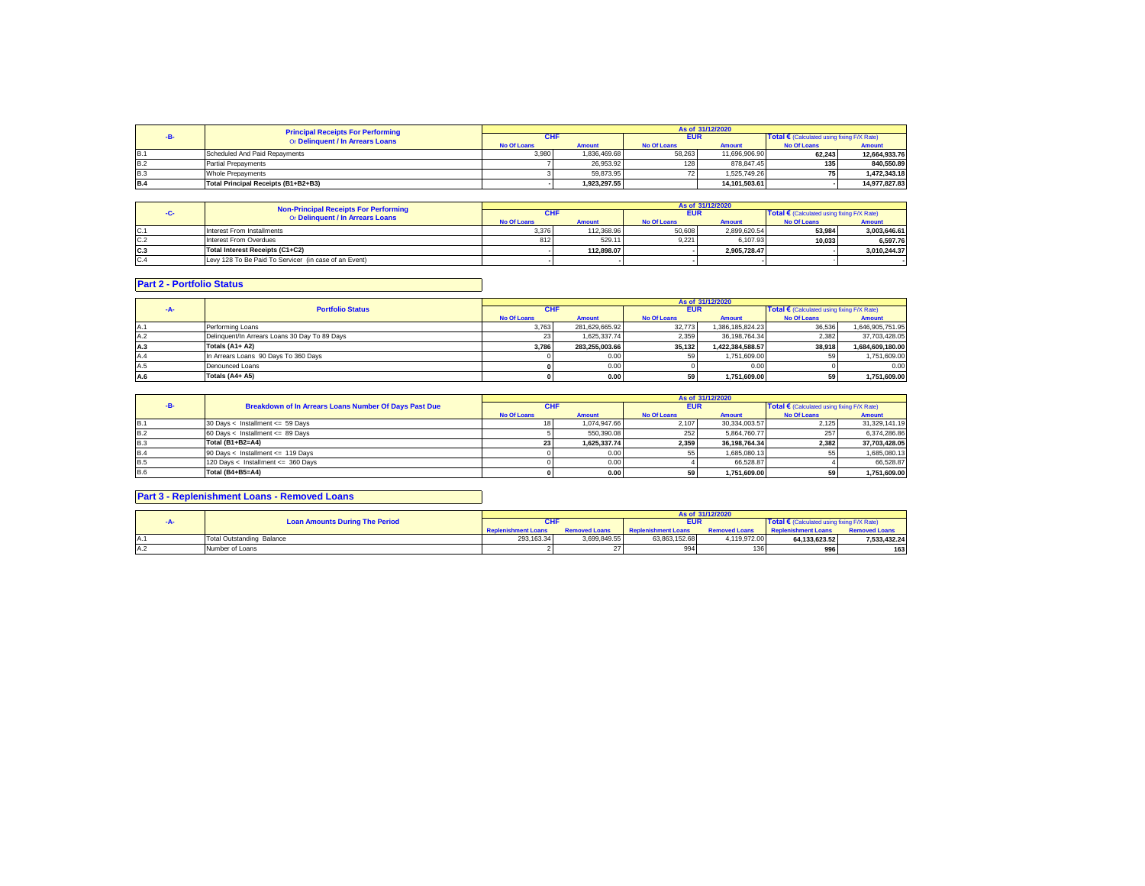|            | <b>Principal Receipts For Performing</b> |                    | As of 31/12/2020 |                    |               |                                                     |               |  |  |
|------------|------------------------------------------|--------------------|------------------|--------------------|---------------|-----------------------------------------------------|---------------|--|--|
|            | Or Delinquent / In Arrears Loans         | <b>CHF</b>         |                  | <b>EUR</b>         |               | Total $\epsilon$ (Calculated using fixing F/X Rate) |               |  |  |
|            |                                          | <b>No Of Loans</b> | <b>Amount</b>    | <b>No Of Loans</b> | <b>Amount</b> | <b>No Of Loans</b>                                  | Amount        |  |  |
| <b>B.1</b> | Scheduled And Paid Repayments            | 3.980              | 1.836.469.68     | 58.263             | 11.696.906.90 | 62.243                                              | 12,664,933.76 |  |  |
| <b>B.2</b> | <b>Partial Prepayments</b>               |                    | 26.953.92        | 128                | 878.847.45    | 135 <sub>1</sub>                                    | 840.550.89    |  |  |
| B.3        | Whole Prepayments                        |                    | 59.873.95        |                    | 1.525.749.26  |                                                     | 1.472.343.18  |  |  |
| <b>B.4</b> | Total Principal Receipts (B1+B2+B3)      |                    | 1.923.297.55     |                    | 14.101.503.61 |                                                     | 14.977.827.83 |  |  |

|      | <b>Non-Principal Receipts For Performing</b>          | As of 31/12/2020   |               |                    |               |                                            |               |  |
|------|-------------------------------------------------------|--------------------|---------------|--------------------|---------------|--------------------------------------------|---------------|--|
|      | Or Delinquent / In Arrears Loans                      | <b>CHF</b>         |               | <b>EUR</b>         |               | Total € (Calculated using fixing F/X Rate) |               |  |
|      |                                                       | <b>No Of Loans</b> | <b>Amount</b> | <b>No Of Loans</b> | <b>Amount</b> | <b>No Of Loans</b>                         | <b>Amount</b> |  |
| IC.1 | Interest From Installments                            | 3.376              | 112.368.96    | 50,608             | 2.899.620.54  | 53.984                                     | 3,003,646.61  |  |
| C.2  | Interest From Overdues                                | 812                | 529.11        | 9.221              | 6.107.93      | 10.033                                     | 6.597.76      |  |
| C.3  | Total Interest Receipts (C1+C2)                       |                    | 112.898.07    |                    | 2.905.728.47  |                                            | 3.010.244.37  |  |
| C.4  | Levy 128 To Be Paid To Servicer (in case of an Event) |                    |               |                    |               |                                            |               |  |

## **Part 2 - Portfolio Status**

|      |                                               |                    |                |                    | As of 31/12/2020 |                                                     |                  |
|------|-----------------------------------------------|--------------------|----------------|--------------------|------------------|-----------------------------------------------------|------------------|
|      | <b>Portfolio Status</b>                       | <b>CHF</b>         |                | <b>EUR</b>         |                  | Total $\epsilon$ (Calculated using fixing F/X Rate) |                  |
|      |                                               | <b>No Of Loans</b> | <b>Amount</b>  | <b>No Of Loans</b> | <b>Amount</b>    | <b>No Of Loans</b>                                  | <b>Amount</b>    |
| IA.1 | Performing Loans                              | 3.763              | 281.629.665.92 | 32.773             | 1.386.185.824.23 | 36,536                                              | 1,646,905,751.95 |
| A.2  | Delinquent/In Arrears Loans 30 Day To 89 Days |                    | 1.625.337.74   | 2.359              | 36.198.764.34    | 2.382                                               | 37.703.428.05    |
| A.3  | Totals (A1+ A2)                               | 3.786              | 283.255.003.66 | 35.132             | 1.422.384.588.57 | 38.918                                              | 1.684.609.180.00 |
| A.4  | In Arrears Loans 90 Days To 360 Days          |                    | 0.00           |                    | 1.751.609.00     |                                                     | 1,751,609.00     |
| A.5  | Denounced Loans                               |                    | 0.00           |                    | 0.00             |                                                     | 0.00             |
| A.6  | Totals (A4+ A5)                               |                    | 0.00           | 59                 | 1.751.609.00     | 59                                                  | 1.751.609.00     |

|            |                                                       |                    |               |                    | As of 31/12/2020 |                                                     |               |
|------------|-------------------------------------------------------|--------------------|---------------|--------------------|------------------|-----------------------------------------------------|---------------|
|            | Breakdown of In Arrears Loans Number Of Days Past Due | <b>CHF</b>         |               | <b>EUR</b>         |                  | Total $\epsilon$ (Calculated using fixing F/X Rate) |               |
|            |                                                       | <b>No Of Loans</b> | <b>Amount</b> | <b>No Of Loans</b> | <b>Amount</b>    | <b>No Of Loans</b>                                  | <b>Amount</b> |
| <b>B.1</b> | 30 Days < Installment <= 59 Days                      |                    | 1.074.947.66  | 2.107              | 30.334.003.57    | 2.125                                               | 31.329.141.19 |
| <b>B.2</b> | 60 Days < Installment <= 89 Days                      |                    | 550.390.08    | 252                | 5.864.760.77     |                                                     | 6.374.286.86  |
| B.3        | Total (B1+B2=A4)                                      | 23 <sub>1</sub>    | 1.625.337.74  | 2.359              | 36.198.764.34    | 2.382                                               | 37.703.428.05 |
| B.4        | 90 Days < Installment <= 119 Days                     |                    | 0.00          |                    | 1.685.080.13     |                                                     | 1.685.080.13  |
| <b>B.5</b> | 120 Days < Installment <= 360 Days                    |                    | 0.00          |                    | 66.528.87        |                                                     | 66.528.87     |
| <b>B.6</b> | Total (B4+B5=A4)                                      |                    | 0.00          | 59                 | 1.751.609.00     |                                                     | 1.751.609.00  |

## **Part 3 - Replenishment Loans - Removed Loans**

|                                       |                            |                      |                            | As of 31/12/2020     |                                                     |                      |
|---------------------------------------|----------------------------|----------------------|----------------------------|----------------------|-----------------------------------------------------|----------------------|
| <b>Loan Amounts During The Period</b> | <b>CHF</b>                 |                      | <b>EUR</b>                 |                      | Total $\epsilon$ (Calculated using fixing F/X Rate) |                      |
|                                       | <b>Replenishment Loans</b> | <b>Removed Loans</b> | <b>Replenishment Loans</b> | <b>Removed Loans</b> | <b>Replenishment Loans</b>                          | <b>Removed Loans</b> |
| Total Outstanding Balance             | 293.163.34                 | 3.699.849.55         | 63.863.152.68              | 4.119.972.00         | 64.133.623.52                                       | 7,533,432.24         |
| Number of Loans                       |                            |                      | 994                        | 136                  | 996                                                 | 163                  |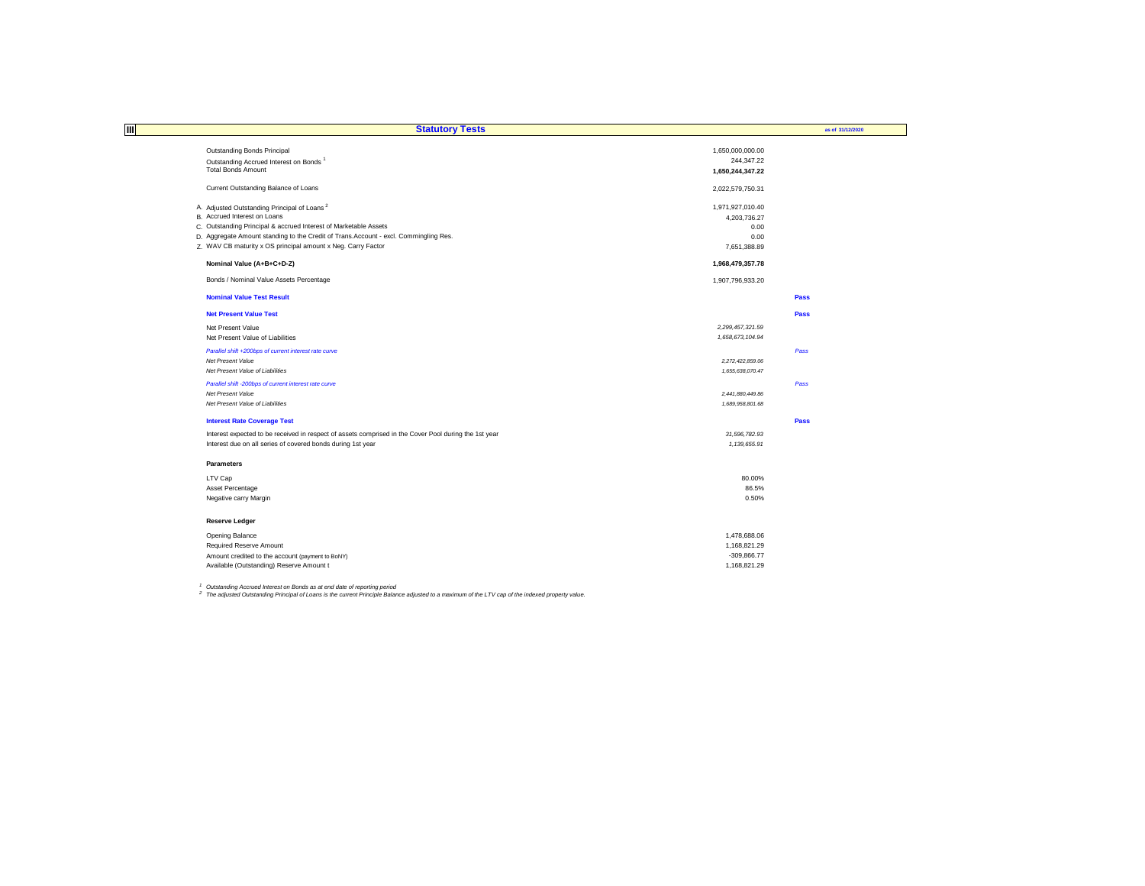| Ш<br><b>Statutory Tests</b>                                                                           |                  | as of 31/12/2020 |
|-------------------------------------------------------------------------------------------------------|------------------|------------------|
|                                                                                                       |                  |                  |
| Outstanding Bonds Principal                                                                           | 1,650,000,000.00 |                  |
| Outstanding Accrued Interest on Bonds <sup>1</sup>                                                    | 244,347.22       |                  |
| <b>Total Bonds Amount</b>                                                                             | 1,650,244,347.22 |                  |
| Current Outstanding Balance of Loans                                                                  | 2,022,579,750.31 |                  |
| A. Adjusted Outstanding Principal of Loans <sup>2</sup>                                               | 1,971,927,010.40 |                  |
| B. Accrued Interest on Loans                                                                          | 4,203,736.27     |                  |
| C. Outstanding Principal & accrued Interest of Marketable Assets                                      | 0.00             |                  |
| D. Aggregate Amount standing to the Credit of Trans.Account - excl. Commingling Res.                  | 0.00             |                  |
| Z. WAV CB maturity x OS principal amount x Neg. Carry Factor                                          | 7,651,388.89     |                  |
| Nominal Value (A+B+C+D-Z)                                                                             | 1,968,479,357.78 |                  |
| Bonds / Nominal Value Assets Percentage                                                               | 1,907,796,933.20 |                  |
| <b>Nominal Value Test Result</b>                                                                      |                  | Pass             |
| <b>Net Present Value Test</b>                                                                         |                  | Pass             |
| Net Present Value                                                                                     | 2.299.457.321.59 |                  |
| Net Present Value of Liabilities                                                                      | 1,658,673,104.94 |                  |
| Parallel shift +200bps of current interest rate curve                                                 |                  | Pass             |
| <b>Net Present Value</b>                                                                              | 2,272,422,859.06 |                  |
| Net Present Value of Liabilities                                                                      | 1,655,638,070.47 |                  |
| Parallel shift -200bps of current interest rate curve                                                 |                  | Pass             |
| Net Present Value                                                                                     | 2,441,880,449.86 |                  |
| Net Present Value of Liabilities                                                                      | 1.689.958.801.68 |                  |
| <b>Interest Rate Coverage Test</b>                                                                    |                  | Pass             |
| Interest expected to be received in respect of assets comprised in the Cover Pool during the 1st year | 31,596,782.93    |                  |
| Interest due on all series of covered bonds during 1st year                                           | 1,139,655.91     |                  |
| <b>Parameters</b>                                                                                     |                  |                  |
| LTV Cap                                                                                               | 80.00%           |                  |
| Asset Percentage                                                                                      | 86.5%            |                  |
| Negative carry Margin                                                                                 | 0.50%            |                  |
| <b>Reserve Ledger</b>                                                                                 |                  |                  |
| Opening Balance                                                                                       | 1,478,688.06     |                  |
| <b>Required Reserve Amount</b>                                                                        | 1,168,821.29     |                  |
| Amount credited to the account (payment to BoNY)                                                      | $-309.866.77$    |                  |
| Available (Outstanding) Reserve Amount t                                                              | 1,168,821.29     |                  |

<sup>1</sup> Outstanding Accrued Interest on Bonds as at end date of reporting period<br><sup>2</sup> The adjusted Outstanding Principal of Loans is the current Principle Balance adjusted to a maximum of the LTV cap of the indexed property val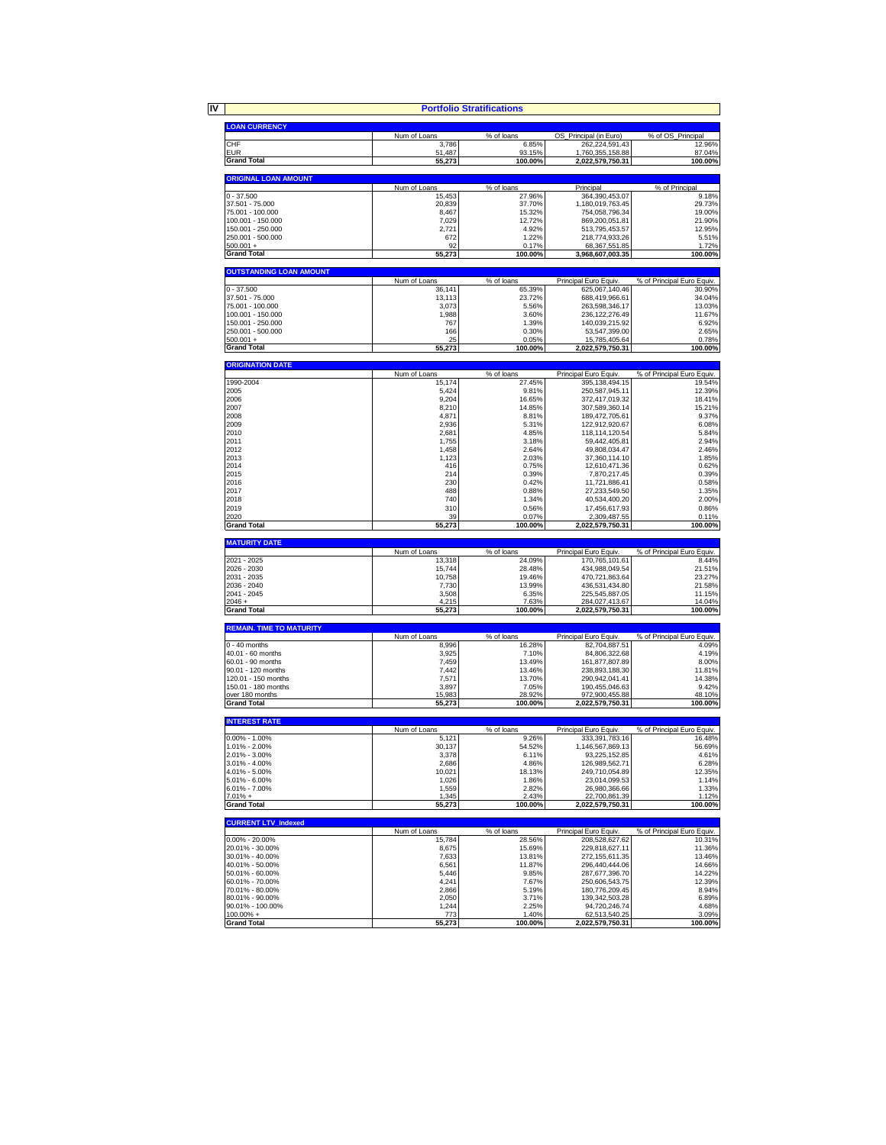|                                            |                        | <b>Portfolio Stratifications</b> |                                    |                                     |
|--------------------------------------------|------------------------|----------------------------------|------------------------------------|-------------------------------------|
|                                            |                        |                                  |                                    |                                     |
| <b>LOAN CURRENCY</b>                       | Num of Loans           | % of loans                       | OS Principal (in Euro)             | % of OS_Principal                   |
| CHF                                        | 3,786                  | 6.85%                            | 262,224,591.43                     | 12.96%                              |
| <b>EUR</b>                                 | 51,487                 | 93.15%                           | 1,760,355,158.88                   | 87.04%                              |
| <b>Grand Total</b>                         | 55,273                 | 100.00%                          | 2,022,579,750.31                   | 100.00%                             |
| <b>ORIGINAL LOAN AMOUNT</b>                |                        |                                  |                                    |                                     |
|                                            | Num of Loans           | % of loans                       | Principal                          | % of Principal                      |
| $0 - 37.500$                               | 15,453                 | 27.96%                           | 364,390,453.07                     | 9.18%                               |
| 37.501 - 75.000                            | 20.839                 | 37.70%                           | 1,180,019,763.45                   | 29.73%                              |
| 75.001 - 100.000<br>100.001 - 150.000      | 8,467<br>7,029         | 15.32%<br>12.72%                 | 754,058,796.34<br>869,200,051.81   | 19.00%<br>21.90%                    |
| 150.001 - 250.000                          | 2,721                  | 4.92%                            | 513,795,453.57                     | 12.95%                              |
| 250.001 - 500.000                          | 672                    | 1.22%                            | 218,774,933.26                     | 5.51%                               |
| $500.001 +$                                | 92                     | 0.17%                            | 68,367,551.85                      | 1.72%                               |
| <b>Grand Total</b>                         | 55,273                 | 100.00%                          | 3,968,607,003.35                   | 100.00%                             |
| <b>OUTSTANDING LOAN AMOUNT</b>             |                        |                                  |                                    |                                     |
|                                            | Num of Loans           | % of loans                       | Principal Euro Equiv.              | % of Principal Euro Equiv.          |
| $0 - 37.500$                               | 36,141                 | 65.39%                           | 625,067,140.46                     | 30.90%                              |
| 37.501 - 75.000                            | 13,113<br>3,073        | 23.72%                           | 688,419,966.61                     | 34.04%                              |
| 75.001 - 100.000<br>100.001 - 150.000      | 1,988                  | 5.56%<br>3.60%                   | 263,598,346.17<br>236, 122, 276.49 | 13.03%<br>11.67%                    |
| 150.001 - 250.000                          | 767                    | 1.39%                            | 140,039,215.92                     | 6.92%                               |
| 250.001 - 500.000                          | 166                    | 0.30%                            | 53,547,399.00                      | 2.65%                               |
| $500.001 +$                                | 25                     | 0.05%                            | 15,785,405.64                      | 0.78%                               |
| <b>Grand Total</b>                         | 55,273                 | 100.00%                          | 2,022,579,750.31                   | 100.00%                             |
| <b>ORIGINATION DATE</b>                    |                        |                                  |                                    |                                     |
|                                            | Num of Loans           | % of loans                       | Principal Euro Equiv.              | % of Principal Euro Equiv.          |
| 1990-2004                                  | 15,174                 | 27.45%                           | 395, 138, 494. 15                  | 19.54%                              |
| 2005                                       | 5,424                  | 9.81%                            | 250,587,945.11                     | 12.39%                              |
| 2006                                       | 9,204                  | 16.65%                           | 372,417,019.32                     | 18.41%                              |
| 2007                                       | 8,210                  | 14.85%                           | 307.589.360.14                     | 15.21%                              |
| 2008                                       | 4,871                  | 8.81%                            | 189,472,705.61                     | 9.37%                               |
| 2009<br>2010                               | 2,936<br>2,681         | 5.31%                            | 122,912,920.67                     | 6.08%<br>5.84%                      |
| 2011                                       | 1,755                  | 4.85%<br>3.18%                   | 118,114,120.54<br>59,442,405.81    | 2.94%                               |
| 2012                                       | 1,458                  | 2.64%                            | 49,808,034.47                      | 2.46%                               |
| 2013                                       | 1,123                  | 2.03%                            | 37,360,114.10                      | 1.85%                               |
| 2014                                       | 416                    | 0.75%                            | 12,610,471.36                      | 0.62%                               |
| 2015                                       | 214                    | 0.39%                            | 7,870,217.45                       | 0.39%                               |
| 2016                                       | 230                    | 0.42%                            | 11,721,886.41                      | 0.58%                               |
| 2017                                       | 488                    | 0.88%                            | 27,233,549.50                      | 1.35%                               |
| 2018                                       | 740                    | 1.34%                            | 40,534,400.20                      | 2.00%                               |
| 2019                                       | 310                    | 0.56%                            | 17,456,617.93                      | 0.86%                               |
| 2020                                       | 39                     | 0.07%                            | 2,309,487.55                       | 0.11%                               |
| <b>Grand Total</b>                         | 55,273                 | 100.00%                          | 2,022,579,750.31                   | 100.00%                             |
| <b>MATURITY DATE</b>                       |                        |                                  |                                    |                                     |
| 2021 - 2025                                | Num of Loans<br>13,318 | % of loans                       | Principal Euro Equiv               | % of Principal Euro Equiv.<br>8.44% |
| 2026 - 2030                                | 15,744                 | 24.09%<br>28.48%                 | 170,765,101.61<br>434,988,049.54   | 21.51%                              |
| 2031 - 2035                                | 10,758                 | 19.46%                           | 470,721,863.64                     | 23.27%                              |
| 2036 - 2040                                | 7,730                  | 13.99%                           | 436,531,434.80                     | 21.58%                              |
| 2041 - 2045                                | 3,508                  | 6.35%                            | 225,545,887.05                     | 11.15%                              |
| $2046 +$                                   | 4,215                  | 7.63%                            | 284,027,413.67                     | 14.04%                              |
| <b>Grand Total</b>                         | 55,273                 | 100.00%                          | 2,022,579,750.31                   | 100.00%                             |
| <b>REMAIN. TIME TO MATURITY</b>            |                        |                                  |                                    |                                     |
|                                            | Num of Loans           | % of loans                       | Principal Euro Equiv.              | % of Principal Euro Equiv.          |
| $0 - 40$ months                            | 8,996                  | 16.28%                           | 82,704,887.51                      | 4.09%                               |
| 40.01 - 60 months                          | 3,925                  | 7.10%                            | 84,806,322.68                      | 4.19%                               |
| 60.01 - 90 months                          | 7,459                  | 13.49%                           | 161,877,807.89                     | 8.00%                               |
| 90.01 - 120 months                         | 7,442                  | 13.46%                           | 238,893,188.30                     | 11.81%                              |
| 120.01 - 150 months<br>150.01 - 180 months | 7,571<br>3,897         | 13.70%<br>7.05%                  | 290,942,041.41<br>190,455,046.63   | 14.38%<br>9.42%                     |
| over 180 months                            | 15,983                 | 28.92%                           | 972,900,455.88                     | 48.10%                              |
| <b>Grand Total</b>                         | 55,273                 | 100.00%                          | 2,022,579,750.31                   | 100.00%                             |
|                                            |                        |                                  |                                    |                                     |
| <b>INTEREST RATE</b>                       | Num of Loans           | % of loans                       | Principal Euro Equiv.              | % of Principal Euro Equiv.          |
| $0.00\% - 1.00\%$                          | 5,121                  | 9.26%                            | 333,391,783.16                     | 16.48%                              |
| 1.01% - 2.00%                              | 30,137                 | 54.52%                           | 146,567,869.13                     | 56.69%                              |
| 2.01% - 3.00%                              | 3,378                  | 6.11%                            | 93,225,152.85                      | 4.61%                               |
| 3.01% - 4.00%                              | 2,686                  | 4.86%                            | 126.989.562.71                     | 6.28%                               |
| 4.01% - 5.00%                              | 10,021                 | 18.13%                           | 249,710,054.89                     | 12.35%                              |
| 5.01% - 6.00%                              | 1,026                  | 1.86%                            | 23,014,099.53                      | 1.14%                               |
| 6.01% - 7.00%<br>$7.01% +$                 | 1,559<br>1,345         | 2.82%<br>2.43%                   | 26,980,366.66<br>22,700,861.39     | 1.33%<br>1.12%                      |
| <b>Grand Total</b>                         | 55,273                 | 100.00%                          | 2,022,579,750.31                   | 100.00%                             |
| <b>CURRENT LTV_Indexed</b>                 |                        |                                  |                                    |                                     |
|                                            | Num of Loans           | % of loans                       | Principal Euro Equiv.              | % of Principal Euro Equiv.          |
| 0.00% - 20.00%                             | 15,784                 | 28.56%                           | 208,528,627.62                     | 10.31%                              |
| 20.01% - 30.00%                            | 8,675                  | 15.69%                           | 229,818,627.11                     | 11.36%                              |
| 30.01% - 40.00%                            | 7,633                  | 13.81%                           | 272.155.611.35                     | 13.46%                              |
| 40.01% - 50.00%                            | 6,561                  | 11.87%                           | 296,440,444.06                     | 14.66%                              |
| 50.01% - 60.00%                            | 5,446                  | 9.85%                            | 287,677,396.70                     | 14.22%                              |
| 60.01% - 70.00%                            | 4,241                  | 7.67%                            | 250,606,543.75                     | 12.39%                              |
| 70.01% - 80.00%<br>80.01% - 90.00%         | 2,866<br>2,050         | 5.19%<br>3.71%                   | 180,776,209.45<br>139,342,503.28   | 8.94%                               |
| 90.01% - 100.00%                           | 1,244                  | 2.25%                            | 94,720,246.74                      | 6.89%<br>4.68%                      |
| $100.00\% +$                               | 773                    | 1.40%                            | 62,513,540.25                      | 3.09%                               |
| <b>Grand Total</b>                         | 55,273                 | 100.00%                          | 2,022,579,750.31                   | 100.00%                             |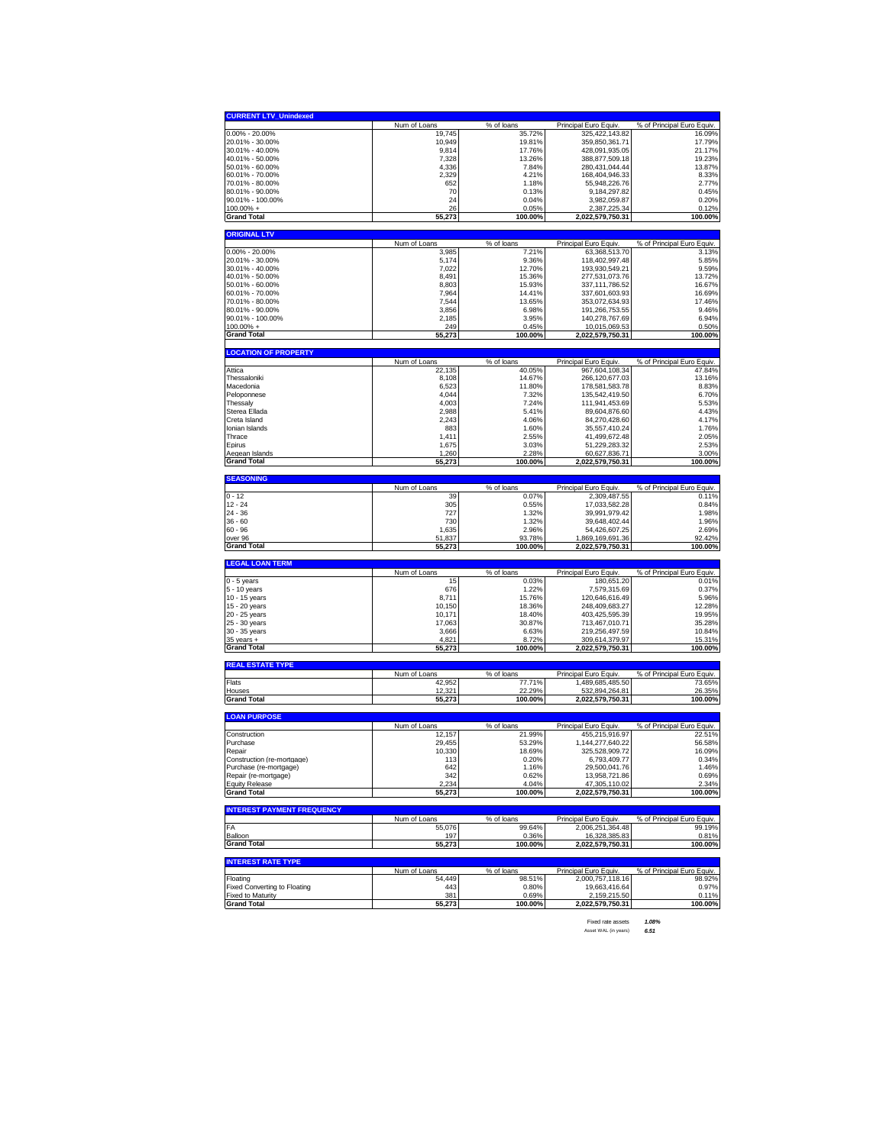| <b>CURRENT LTV Unindexed</b>                                                                                                                                                                                                                                                                                  | Num of Loans    | % of loans           | Principal Euro Equiv.            | % of Principal Euro Equiv. |
|---------------------------------------------------------------------------------------------------------------------------------------------------------------------------------------------------------------------------------------------------------------------------------------------------------------|-----------------|----------------------|----------------------------------|----------------------------|
| $0.00\% - 20.00\%$                                                                                                                                                                                                                                                                                            | 19,745          | 35.72%               | 325,422,143.82                   | 16.09%                     |
| 20.01% - 30.00%                                                                                                                                                                                                                                                                                               | 10,949          | 19.81%               | 359,850,361.71                   | 17.79%                     |
| 30.01% - 40.00%                                                                                                                                                                                                                                                                                               | 9,814           | 17.76%               | 428,091,935.05                   | 21.17%                     |
| 40.01% - 50.00%                                                                                                                                                                                                                                                                                               | 7,328           | 13.26%               | 388,877,509.18                   | 19.23%                     |
| 50.01% - 60.00%                                                                                                                                                                                                                                                                                               | 4,336           | 7.84%                | 280,431,044.44                   | 13.87%                     |
| 60.01% - 70.00%                                                                                                                                                                                                                                                                                               | 2.329           | 4.21%                | 168,404,946.33                   | 8.33%                      |
| 70.01% - 80.00%                                                                                                                                                                                                                                                                                               | 652             | 1.18%                | 55,948,226.76                    | 2.77%                      |
| 80.01% - 90.00%                                                                                                                                                                                                                                                                                               | 70              | 0.13%                | 9.184.297.82                     | 0.45%                      |
| 90.01% - 100.00%                                                                                                                                                                                                                                                                                              | 24              | 0.04%                | 3,982,059.87                     | 0.20%                      |
| 100.00% +                                                                                                                                                                                                                                                                                                     | 26              | 0.05%                | 2,387,225.34                     | 0.12%                      |
| <b>Grand Total</b>                                                                                                                                                                                                                                                                                            | 55,273          | 100.00%              | 2,022,579,750.31                 | 100.00%                    |
|                                                                                                                                                                                                                                                                                                               |                 |                      |                                  |                            |
| <b>ORIGINAL LTV</b>                                                                                                                                                                                                                                                                                           |                 |                      |                                  |                            |
|                                                                                                                                                                                                                                                                                                               | Num of Loans    | % of loans           | Principal Euro Equiv.            | % of Principal Euro Equiv. |
| 0.00% - 20.00%                                                                                                                                                                                                                                                                                                | 3,985           | 7.21%                | 63,368,513.70                    | 3.13%                      |
| 20.01% - 30.00%                                                                                                                                                                                                                                                                                               | 5,174           | 9.36%                | 118,402,997.48                   | 5.85%                      |
| 30.01% - 40.00%                                                                                                                                                                                                                                                                                               | 7,022           | 12.70%               | 193,930,549.21                   | 9.59%                      |
| 40.01% - 50.00%                                                                                                                                                                                                                                                                                               | 8,491           | 15.36%               | 277,531,073.76                   | 13.72%                     |
| 50.01% - 60.00%                                                                                                                                                                                                                                                                                               | 8,803           | 15.93%               | 337, 111, 786.52                 | 16.67%                     |
| 60.01% - 70.00%                                                                                                                                                                                                                                                                                               | 7,964           | 14.41%               | 337,601,603.93                   | 16.69%                     |
| 70.01% - 80.00%                                                                                                                                                                                                                                                                                               | 7,544           | 13.65%               | 353,072,634.93                   | 17.46%                     |
| 80.01% - 90.00%                                                                                                                                                                                                                                                                                               | 3,856           | 6.98%                | 191,266,753.55                   | 9.46%                      |
| 90.01% - 100.00%                                                                                                                                                                                                                                                                                              | 2,185           | 3.95%                | 140,278,767.69                   | 6.94%                      |
| 100.00% +                                                                                                                                                                                                                                                                                                     | 249             | 0.45%                | 10,015,069.53                    | 0.50%                      |
| <b>Grand Total</b>                                                                                                                                                                                                                                                                                            | 55,273          | 100.00%              | 2,022,579,750.31                 | 100.00%                    |
|                                                                                                                                                                                                                                                                                                               |                 |                      |                                  |                            |
| <b>LOCATION OF PROPERTY</b>                                                                                                                                                                                                                                                                                   |                 |                      |                                  |                            |
|                                                                                                                                                                                                                                                                                                               | Num of Loans    | % of loans           | Principal Euro Equiv             | % of Principal Euro Equiv. |
| Attica                                                                                                                                                                                                                                                                                                        | 22,135          | 40.05%               | 967,604,108.34                   | 47.84%                     |
| Thessaloniki                                                                                                                                                                                                                                                                                                  | 8,108           | 14.67%               | 266,120,677.03                   | 13.16%                     |
| Macedonia                                                                                                                                                                                                                                                                                                     | 6,523           | 11.80%               | 178,581,583.78                   | 8.83%                      |
| Peloponnese                                                                                                                                                                                                                                                                                                   | 4,044           | 7.32%                | 135,542,419.50                   | 6.70%                      |
| Thessaly                                                                                                                                                                                                                                                                                                      | 4,003           | 7.24%                | 111,941,453.69                   | 5.53%                      |
| Sterea Ellada                                                                                                                                                                                                                                                                                                 | 2.988           | 5.41%                | 89,604,876.60                    | 4.43%                      |
| Creta Island                                                                                                                                                                                                                                                                                                  | 2,243           | 4.06%                | 84,270,428.60                    | 4.17%                      |
| Ionian Islands                                                                                                                                                                                                                                                                                                | 883             | 1.60%                | 35,557,410.24                    | 1.76%                      |
| Thrace                                                                                                                                                                                                                                                                                                        | 1,411           | 2.55%                | 41,499,672.48                    | 2.05%                      |
| Epirus                                                                                                                                                                                                                                                                                                        | 1,675           | 3.03%                | 51,229,283.32                    | 2.53%                      |
| Aegean Islands                                                                                                                                                                                                                                                                                                | 1,260           | 2.28%                | 60,627,836.71                    | 3.00%                      |
| <b>Grand Total</b>                                                                                                                                                                                                                                                                                            | 55,273          | 100.00%              | 2,022,579,750.31                 | 100.00%                    |
|                                                                                                                                                                                                                                                                                                               |                 |                      |                                  |                            |
| <b>SEASONING</b>                                                                                                                                                                                                                                                                                              |                 |                      |                                  |                            |
|                                                                                                                                                                                                                                                                                                               | Num of Loans    | % of loans           | Principal Euro Equiv.            | % of Principal Euro Equiv. |
| $0 - 12$                                                                                                                                                                                                                                                                                                      | 39              | 0.07%                | 2,309,487.55                     | 0.11%                      |
| $12 - 24$                                                                                                                                                                                                                                                                                                     | 305             | 0.55%                | 17,033,582.28                    | 0.84%                      |
| 24 - 36                                                                                                                                                                                                                                                                                                       | 727             | 1.32%                | 39.991.979.42                    | 1.98%                      |
| $36 - 60$                                                                                                                                                                                                                                                                                                     | 730             | 1.32%                | 39,648,402.44                    | 1.96%                      |
| 60 - 96                                                                                                                                                                                                                                                                                                       | 1,635           | 2.96%                | 54,426,607.25                    | 2.69%                      |
| over 96                                                                                                                                                                                                                                                                                                       | 51,837          | 93.78%               | 1,869,169,691.36                 | 92.42%                     |
| <b>Grand Total</b>                                                                                                                                                                                                                                                                                            | 55,273          | 100.00%              | 2,022,579,750.31                 | 100.00%                    |
|                                                                                                                                                                                                                                                                                                               |                 |                      |                                  |                            |
|                                                                                                                                                                                                                                                                                                               |                 |                      |                                  |                            |
|                                                                                                                                                                                                                                                                                                               |                 |                      |                                  |                            |
|                                                                                                                                                                                                                                                                                                               | Num of Loans    | % of loans           | Principal Euro Equiv.            | % of Principal Euro Equiv. |
|                                                                                                                                                                                                                                                                                                               | 15              | 0.03%                | 180,651.20                       | 0.01%                      |
|                                                                                                                                                                                                                                                                                                               | 676             | 1.22%                | 7,579,315.69                     | 0.37%                      |
|                                                                                                                                                                                                                                                                                                               | 8,711           | 15.76%               | 120,646,616.49                   | 5.96%                      |
|                                                                                                                                                                                                                                                                                                               | 10,150          | 18.36%               | 248,409,683.27                   | 12.28%                     |
|                                                                                                                                                                                                                                                                                                               | 10,171          | 18.40%               | 403,425,595.39                   | 19.95%                     |
|                                                                                                                                                                                                                                                                                                               | 17,063          | 30.87%               | 713,467,010.71                   | 35.28%                     |
|                                                                                                                                                                                                                                                                                                               | 3,666           | 6.63%                | 219,256,497.59                   | 10.84%                     |
|                                                                                                                                                                                                                                                                                                               | 4,821<br>55,273 | 8.72%<br>100.00%     | 309,614,379.97                   | 15.31%<br>100.00%          |
|                                                                                                                                                                                                                                                                                                               |                 |                      | 2,022,579,750.31                 |                            |
|                                                                                                                                                                                                                                                                                                               |                 |                      |                                  |                            |
|                                                                                                                                                                                                                                                                                                               | Num of Loans    | % of loans           | Principal Euro Equiv             | % of Principal Euro Equiv. |
|                                                                                                                                                                                                                                                                                                               | 42,952          | 77.71%               | 1.489.685.485.50                 | 73.65%                     |
|                                                                                                                                                                                                                                                                                                               | 12,321          | 22.29%               | 532,894,264.81                   | 26.35%                     |
| <b>LEGAL LOAN TERM</b><br>0 - 5 years<br>5 - 10 years<br>10 - 15 years<br>15 - 20 years<br>20 - 25 years<br>25 - 30 years<br>30 - 35 years<br>$35$ years $+$<br><b>Grand Total</b><br><b>REAL ESTATE TYPE</b><br>Flats<br>Houses<br><b>Grand Total</b>                                                        | 55,273          | 100.00%              | 2,022,579,750.31                 | 100.00%                    |
|                                                                                                                                                                                                                                                                                                               |                 |                      |                                  |                            |
|                                                                                                                                                                                                                                                                                                               | Num of Loans    | % of loans           | Principal Euro Equiv             | % of Principal Euro Equiv. |
|                                                                                                                                                                                                                                                                                                               | 12.157          | 21.99%               | 455,215,916.97                   | 22.51%                     |
|                                                                                                                                                                                                                                                                                                               | 29,455          | 53.29%               | 1,144,277,640.22                 | 56.58%                     |
|                                                                                                                                                                                                                                                                                                               | 10,330          | 18.69%               | 325,528,909.72                   | 16.09%                     |
|                                                                                                                                                                                                                                                                                                               | 113             | 0.20%                | 6,793,409.77                     | 0.34%                      |
|                                                                                                                                                                                                                                                                                                               | 642             | 1.16%                | 29,500,041.76                    | 1.46%                      |
|                                                                                                                                                                                                                                                                                                               | 342             | 0.62%                | 13,958,721.86                    | 0.69%                      |
|                                                                                                                                                                                                                                                                                                               | 2,234           | 4.04%                | 47,305,110.02                    | 2.34%                      |
|                                                                                                                                                                                                                                                                                                               | 55,273          | 100.00%              | 2,022,579,750.31                 | 100.00%                    |
|                                                                                                                                                                                                                                                                                                               |                 |                      |                                  |                            |
|                                                                                                                                                                                                                                                                                                               |                 |                      |                                  |                            |
|                                                                                                                                                                                                                                                                                                               | Num of Loans    | % of loans           | Principal Euro Equiv.            | % of Principal Euro Equiv. |
|                                                                                                                                                                                                                                                                                                               | 55,076          | 99.64%               | 2,006,251,364.48                 | 99.19%                     |
|                                                                                                                                                                                                                                                                                                               | 197             | 0.36%                | 16,328,385.83                    | 0.81%                      |
|                                                                                                                                                                                                                                                                                                               | 55,273          | 100.00%              | 2,022,579,750.31                 | 100.00%                    |
|                                                                                                                                                                                                                                                                                                               |                 |                      |                                  |                            |
|                                                                                                                                                                                                                                                                                                               | Num of Loans    |                      | Principal Euro Equiv.            | % of Principal Euro Equiv. |
| <b>LOAN PURPOSE</b><br>Construction<br>Purchase<br>Repair<br>Construction (re-mortgage)<br>Purchase (re-mortgage)<br>Repair (re-mortgage)<br><b>Equity Release</b><br><b>Grand Total</b><br><b>INTEREST PAYMENT FREQUENCY</b><br>FA<br>Balloon<br><b>Grand Total</b><br><b>INTEREST RATE TYPE</b><br>Floating | 54,449          | % of loans<br>98.51% | 2,000,757,118.16                 | 98.92%                     |
|                                                                                                                                                                                                                                                                                                               | 443             | 0.80%                |                                  | 0.97%                      |
| Fixed Converting to Floating                                                                                                                                                                                                                                                                                  |                 |                      | 19,663,416.64                    |                            |
| <b>Fixed to Maturity</b><br><b>Grand Total</b>                                                                                                                                                                                                                                                                | 381<br>55,273   | 0.69%<br>100.00%     | 2,159,215.50<br>2,022,579,750.31 | 0.11%<br>100.00%           |

Fixed rate assets *1.08%* Asset WAL (in years) *6.51*